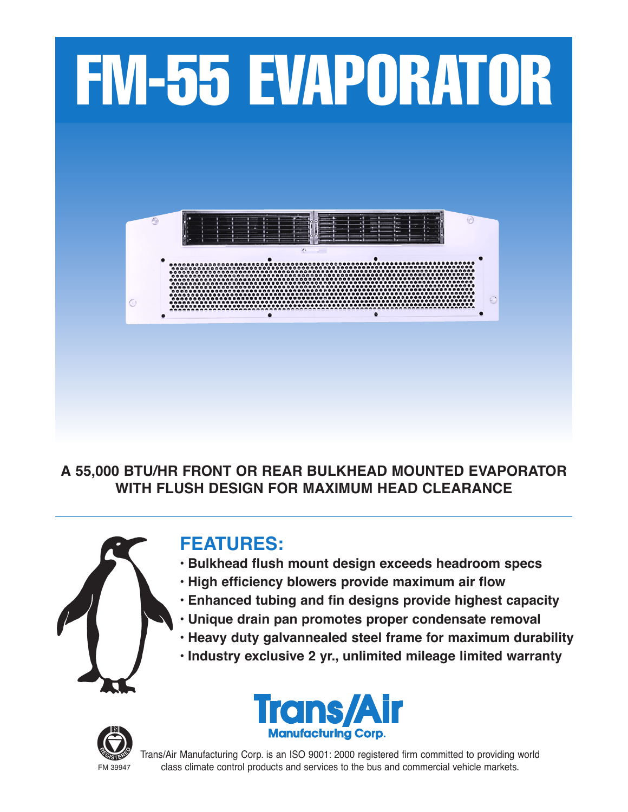

**A 55,000 BTU/HR FRONT OR REAR BULKHEAD MOUNTED EVAPORATOR WITH FLUSH DESIGN FOR MAXIMUM HEAD CLEARANCE**



# **FEATURES:**

- **• Bulkhead flush mount design exceeds headroom specs**
- **• High efficiency blowers provide maximum air flow**
- **• Enhanced tubing and fin designs provide highest capacity**
- **• Unique drain pan promotes proper condensate removal**
- **• Heavy duty galvannealed steel frame for maximum durability**
- **• Industry exclusive 2 yr., unlimited mileage limited warranty**





Trans/Air Manufacturing Corp. is an ISO 9001: 2000 registered firm committed to providing world FM 39947 class climate control products and services to the bus and commercial vehicle markets.